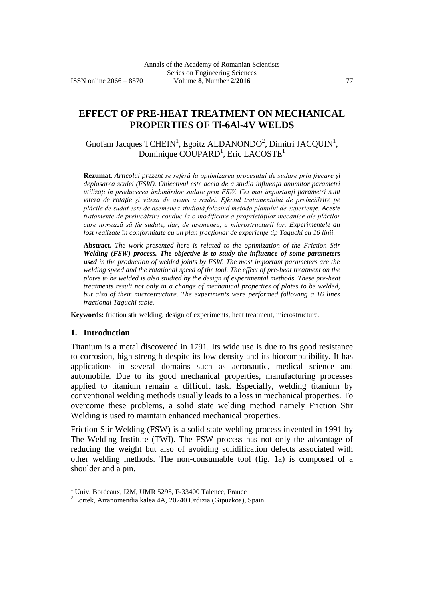# **EFFECT OF PRE-HEAT TREATMENT ON MECHANICAL PROPERTIES OF Ti-6Al-4V WELDS**

Gnofam Jacques TCHEIN<sup>1</sup>, Egoitz ALDANONDO<sup>2</sup>, Dimitri JACQUIN<sup>1</sup>, Dominique  $\text{COUPARD}^1$ , Eric LACOSTE $^1$ 

**Rezumat.** *Articolul prezent se referă la optimizarea procesului de sudare prin frecare şi deplasarea sculei (FSW). Obiectivul este acela de a studia influenţa anumitor parametri utilizaţi în producerea îmbinărilor sudate prin FSW. Cei mai importanţi parametri sunt viteza de rotaţie şi viteza de avans a sculei. Efectul tratamentului de preîncălzire pe plăcile de sudat este de asemenea studiată folosind metoda planului de experienţe. Aceste tratamente de preîncălzire conduc la o modificare a proprietăţilor mecanice ale plăcilor care urmează să fie sudate, dar, de asemenea, a microstructurii lor. Experimentele au fost realizate în conformitate cu un plan fracţionar de experienţe tip Taguchi cu 16 linii.*

**Abstract.** *The work presented here is related to the optimization of the Friction Stir Welding (FSW) process. The objective is to study the influence of some parameters used in the production of welded joints by FSW. The most important parameters are the welding speed and the rotational speed of the tool. The effect of pre-heat treatment on the plates to be welded is also studied by the design of experimental methods. These pre-heat treatments result not only in a change of mechanical properties of plates to be welded, but also of their microstructure. The experiments were performed following a 16 lines fractional Taguchi table.*

**Keywords:** friction stir welding, design of experiments, heat treatment, microstructure.

#### **1. Introduction**

 $\overline{a}$ 

Titanium is a metal discovered in 1791. Its wide use is due to its good resistance to corrosion, high strength despite its low density and its biocompatibility. It has applications in several domains such as aeronautic, medical science and automobile. Due to its good mechanical properties, manufacturing processes applied to titanium remain a difficult task. Especially, welding titanium by conventional welding methods usually leads to a loss in mechanical properties. To overcome these problems, a solid state welding method namely Friction Stir Welding is used to maintain enhanced mechanical properties.

Friction Stir Welding (FSW) is a solid state welding process invented in 1991 by The Welding Institute (TWI). The FSW process has not only the advantage of reducing the weight but also of avoiding solidification defects associated with other welding methods. The non-consumable tool (fig. 1a) is composed of a shoulder and a pin.

<sup>&</sup>lt;sup>1</sup> Univ. Bordeaux, I2M, UMR 5295, F-33400 Talence, France

<sup>2</sup> Lortek, Arranomendia kalea 4A, 20240 Ordizia (Gipuzkoa), Spain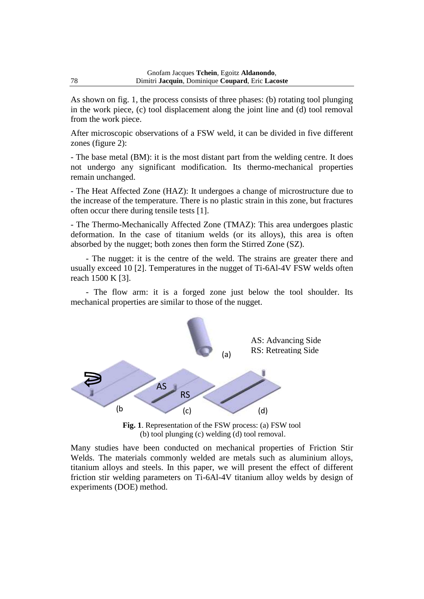As shown on fig. 1, the process consists of three phases: (b) rotating tool plunging in the work piece, (c) tool displacement along the joint line and (d) tool removal from the work piece.

After microscopic observations of a FSW weld, it can be divided in five different zones (figure 2):

- The base metal (BM): it is the most distant part from the welding centre. It does not undergo any significant modification. Its thermo-mechanical properties remain unchanged.

- The Heat Affected Zone (HAZ): It undergoes a change of microstructure due to the increase of the temperature. There is no plastic strain in this zone, but fractures often occur there during tensile tests [1].

- The Thermo-Mechanically Affected Zone (TMAZ): This area undergoes plastic deformation. In the case of titanium welds (or its alloys), this area is often absorbed by the nugget; both zones then form the Stirred Zone (SZ).

- The nugget: it is the centre of the weld. The strains are greater there and usually exceed 10 [2]. Temperatures in the nugget of Ti-6Al-4V FSW welds often reach 1500 K [3].

- The flow arm: it is a forged zone just below the tool shoulder. Its mechanical properties are similar to those of the nugget.



**Fig. 1**. Representation of the FSW process: (a) FSW tool (b) tool plunging (c) welding (d) tool removal.

Many studies have been conducted on mechanical properties of Friction Stir Welds. The materials commonly welded are metals such as aluminium alloys, titanium alloys and steels. In this paper, we will present the effect of different friction stir welding parameters on Ti-6Al-4V titanium alloy welds by design of experiments (DOE) method.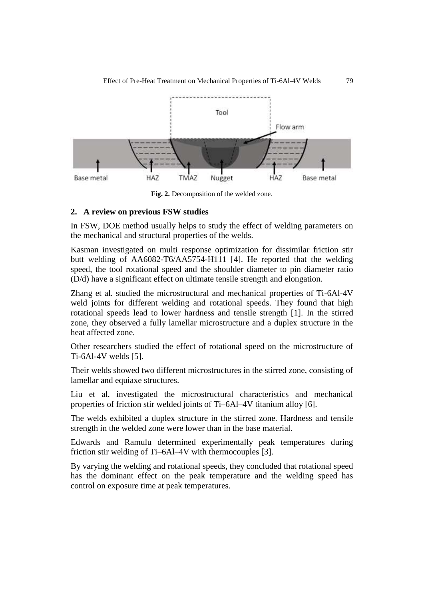

**Fig. 2.** Decomposition of the welded zone.

## **2. A review on previous FSW studies**

In FSW, DOE method usually helps to study the effect of welding parameters on the mechanical and structural properties of the welds.

Kasman investigated on multi response optimization for dissimilar friction stir butt welding of AA6082-T6/AA5754-H111 [4]. He reported that the welding speed, the tool rotational speed and the shoulder diameter to pin diameter ratio (D/d) have a significant effect on ultimate tensile strength and elongation.

Zhang et al. studied the microstructural and mechanical properties of Ti-6Al-4V weld joints for different welding and rotational speeds. They found that high rotational speeds lead to lower hardness and tensile strength [1]. In the stirred zone, they observed a fully lamellar microstructure and a duplex structure in the heat affected zone.

Other researchers studied the effect of rotational speed on the microstructure of Ti-6Al-4V welds [5].

Their welds showed two different microstructures in the stirred zone, consisting of lamellar and equiaxe structures.

Liu et al. investigated the microstructural characteristics and mechanical properties of friction stir welded joints of Ti–6Al–4V titanium alloy [6].

The welds exhibited a duplex structure in the stirred zone. Hardness and tensile strength in the welded zone were lower than in the base material.

Edwards and Ramulu determined experimentally peak temperatures during friction stir welding of Ti–6Al–4V with thermocouples [3].

By varying the welding and rotational speeds, they concluded that rotational speed has the dominant effect on the peak temperature and the welding speed has control on exposure time at peak temperatures.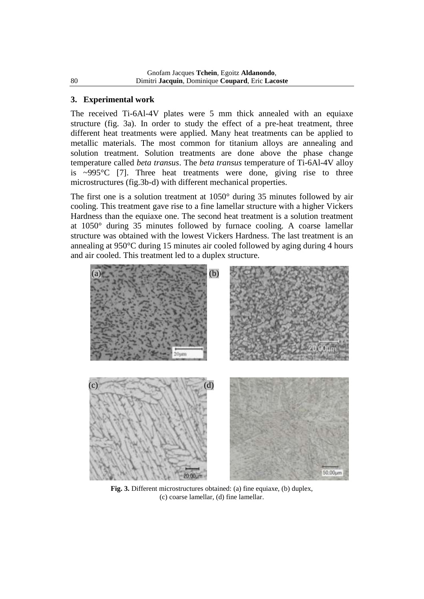## **3. Experimental work**

The received Ti-6Al-4V plates were 5 mm thick annealed with an equiaxe structure (fig. 3a). In order to study the effect of a pre-heat treatment, three different heat treatments were applied. Many heat treatments can be applied to metallic materials. The most common for titanium alloys are annealing and solution treatment. Solution treatments are done above the phase change temperature called *beta transus*. The *beta transus* temperature of Ti-6Al-4V alloy is ~995°C [7]. Three heat treatments were done, giving rise to three microstructures (fig.3b-d) with different mechanical properties.

The first one is a solution treatment at 1050° during 35 minutes followed by air cooling. This treatment gave rise to a fine lamellar structure with a higher Vickers Hardness than the equiaxe one. The second heat treatment is a solution treatment at 1050° during 35 minutes followed by furnace cooling. A coarse lamellar structure was obtained with the lowest Vickers Hardness. The last treatment is an annealing at 950°C during 15 minutes air cooled followed by aging during 4 hours and air cooled. This treatment led to a duplex structure.



**Fig. 3.** Different microstructures obtained: (a) fine equiaxe, (b) duplex, (c) coarse lamellar, (d) fine lamellar.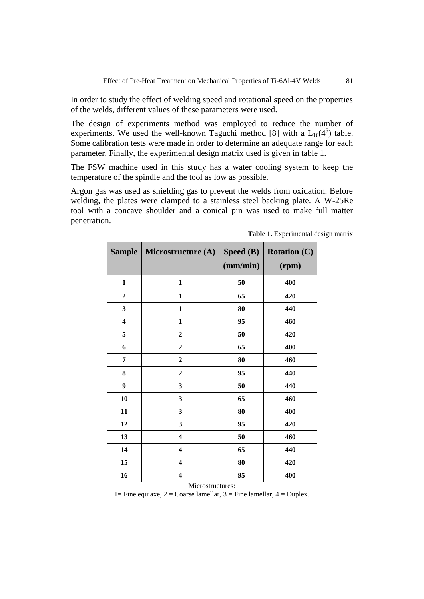In order to study the effect of welding speed and rotational speed on the properties of the welds, different values of these parameters were used.

The design of experiments method was employed to reduce the number of experiments. We used the well-known Taguchi method [8] with a  $L_{16}(4^5)$  table. Some calibration tests were made in order to determine an adequate range for each parameter. Finally, the experimental design matrix used is given in table 1.

The FSW machine used in this study has a water cooling system to keep the temperature of the spindle and the tool as low as possible.

Argon gas was used as shielding gas to prevent the welds from oxidation. Before welding, the plates were clamped to a stainless steel backing plate. A W-25Re tool with a concave shoulder and a conical pin was used to make full matter penetration.

| <b>Sample</b>    | Microstructure (A)      | Speed (B)<br>(mm/min) | <b>Rotation (C)</b><br>(rpm) |
|------------------|-------------------------|-----------------------|------------------------------|
| 1                | 1                       | 50                    | 400                          |
| $\boldsymbol{2}$ | $\mathbf{1}$            | 65                    | 420                          |
| 3                | $\mathbf{1}$            | 80                    | 440                          |
| 4                | $\mathbf{1}$            | 95                    | 460                          |
| 5                | $\boldsymbol{2}$        | 50                    | 420                          |
| 6                | $\boldsymbol{2}$        | 65                    | 400                          |
| 7                | $\boldsymbol{2}$        | 80                    | 460                          |
| 8                | $\boldsymbol{2}$        | 95                    | 440                          |
| 9                | 3                       | 50                    | 440                          |
| 10               | 3                       | 65                    | 460                          |
| 11               | 3                       | 80                    | 400                          |
| 12               | 3                       | 95                    | 420                          |
| 13               | $\overline{\mathbf{4}}$ | 50                    | 460                          |
| 14               | $\overline{\mathbf{4}}$ | 65                    | 440                          |
| 15               | $\overline{\mathbf{4}}$ | 80                    | 420                          |
| 16               | $\overline{\mathbf{4}}$ | 95                    | 400                          |

**Table 1.** Experimental design matrix

#### Microstructures:

1= Fine equiaxe,  $2 = \text{Coarse lamellar}$ ,  $3 = \text{Fire lamellar}$ ,  $4 = \text{Duplex}$ .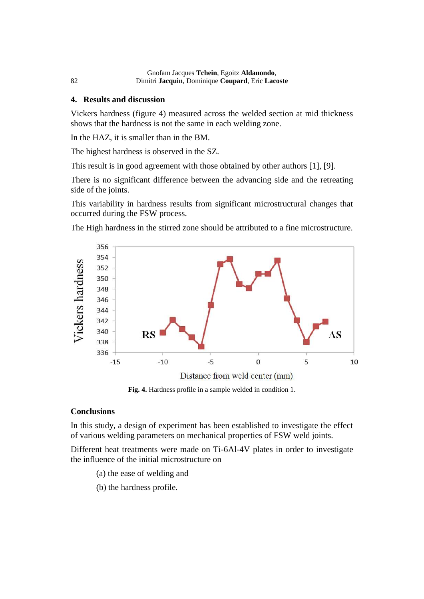### **4. Results and discussion**

Vickers hardness (figure 4) measured across the welded section at mid thickness shows that the hardness is not the same in each welding zone.

In the HAZ, it is smaller than in the BM.

The highest hardness is observed in the SZ.

This result is in good agreement with those obtained by other authors [1], [9].

There is no significant difference between the advancing side and the retreating side of the joints.

This variability in hardness results from significant microstructural changes that occurred during the FSW process.

The High hardness in the stirred zone should be attributed to a fine microstructure.



**Fig. 4.** Hardness profile in a sample welded in condition 1.

### **Conclusions**

In this study, a design of experiment has been established to investigate the effect of various welding parameters on mechanical properties of FSW weld joints.

Different heat treatments were made on Ti-6Al-4V plates in order to investigate the influence of the initial microstructure on

- (a) the ease of welding and
- (b) the hardness profile.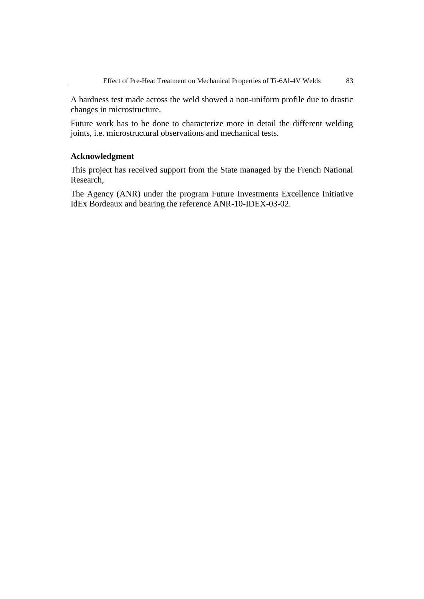A hardness test made across the weld showed a non-uniform profile due to drastic changes in microstructure.

Future work has to be done to characterize more in detail the different welding joints, i.e. microstructural observations and mechanical tests.

### **Acknowledgment**

This project has received support from the State managed by the French National Research,

The Agency (ANR) under the program Future Investments Excellence Initiative IdEx Bordeaux and bearing the reference ANR-10-IDEX-03-02.